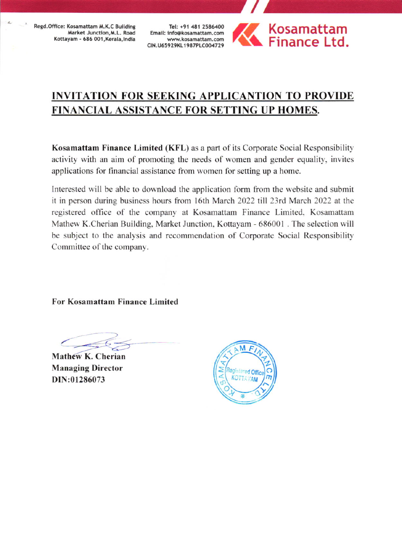Regd.Office: Kosamattam M.K.C Building Market Junction, M.L. Road Kottayam - 686 001, Kerala, India

Tel: +91 481 2586400 Email: info@kosamattam.com www.kosamattam.com CIN.U65929KL1987PLC004729



## INVITATION FOR SEEKING APPLICANTION TO PROVIDE FINANCIAL ASSISTANCE FOR SETTING UP HOMES.

Kosamattam Finance Limited (KFL) as a part of its Corporate Social Responsibility activity with an aim of promoting the needs of women and gender equality, invites applications for financial assistance from women for setting up a home.

Interested will be able to download the application form from the website and submit it in person during business hours from l6th March 2022 till 23td March 2022 at the registered office of the company at Kosamattam Finance Limited. Kosamattam Matherv K.Cherian Building, Market Junction. Kottayam - 686001 . The selection will be subject to the analysis and recommendation of Corporate Social Responsibility Committee of the company.

For Kosamattam Finance Limited

Mathew K. Cherian Managing Director DIN:01286073